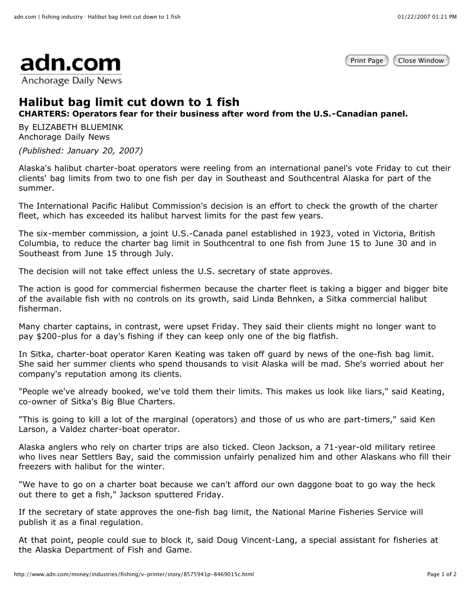Print Page | Close Window



## **Halibut bag limit cut down to 1 fish**

**CHARTERS: Operators fear for their business after word from the U.S.-Canadian panel.**

By ELIZABETH BLUEMINK Anchorage Daily News

*(Published: January 20, 2007)*

Alaska's halibut charter-boat operators were reeling from an international panel's vote Friday to cut their clients' bag limits from two to one fish per day in Southeast and Southcentral Alaska for part of the summer.

The International Pacific Halibut Commission's decision is an effort to check the growth of the charter fleet, which has exceeded its halibut harvest limits for the past few years.

The six-member commission, a joint U.S.-Canada panel established in 1923, voted in Victoria, British Columbia, to reduce the charter bag limit in Southcentral to one fish from June 15 to June 30 and in Southeast from June 15 through July.

The decision will not take effect unless the U.S. secretary of state approves.

The action is good for commercial fishermen because the charter fleet is taking a bigger and bigger bite of the available fish with no controls on its growth, said Linda Behnken, a Sitka commercial halibut fisherman.

Many charter captains, in contrast, were upset Friday. They said their clients might no longer want to pay \$200-plus for a day's fishing if they can keep only one of the big flatfish.

In Sitka, charter-boat operator Karen Keating was taken off guard by news of the one-fish bag limit. She said her summer clients who spend thousands to visit Alaska will be mad. She's worried about her company's reputation among its clients.

"People we've already booked, we've told them their limits. This makes us look like liars," said Keating, co-owner of Sitka's Big Blue Charters.

"This is going to kill a lot of the marginal (operators) and those of us who are part-timers," said Ken Larson, a Valdez charter-boat operator.

Alaska anglers who rely on charter trips are also ticked. Cleon Jackson, a 71-year-old military retiree who lives near Settlers Bay, said the commission unfairly penalized him and other Alaskans who fill their freezers with halibut for the winter.

"We have to go on a charter boat because we can't afford our own daggone boat to go way the heck out there to get a fish," Jackson sputtered Friday.

If the secretary of state approves the one-fish bag limit, the National Marine Fisheries Service will publish it as a final regulation.

At that point, people could sue to block it, said Doug Vincent-Lang, a special assistant for fisheries at the Alaska Department of Fish and Game.